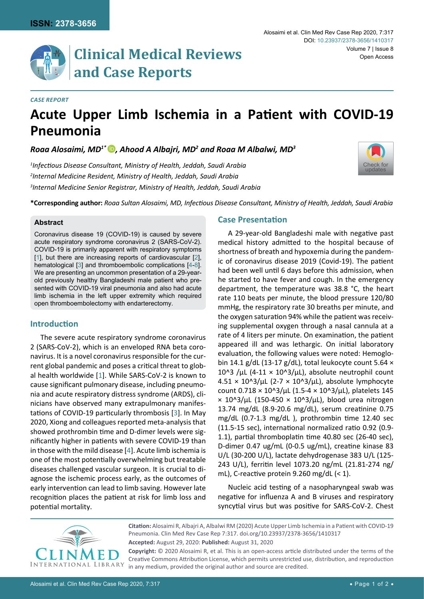

# **Clinical Medical Reviews and Case Reports**

#### *Case Report*

## **Acute Upper Limb Ischemia in a Patient with COVID-19 Pneumonia**

*Roaa Alosaimi, MD1[\\* ,](https://orcid.org/0000-0002-0316-0574) Ahood A Albajri, MD2 and Roaa M Albalwi, MD3*

*1 Infectious Disease Consultant, Ministry of Health, Jeddah, Saudi Arabia 2 Internal Medicine Resident, Ministry of Health, Jeddah, Saudi Arabia 3 Internal Medicine Senior Registrar, Ministry of Health, Jeddah, Saudi Arabia*



**\*Corresponding author:** *Roaa Sultan Alosaimi, MD, Infectious Disease Consultant, Ministry of Health, Jeddah, Saudi Arabia*

#### **Abstract**

Coronavirus disease 19 (COVID-19) is caused by severe acute respiratory syndrome coronavirus 2 (SARS-CoV-2). COVID-19 is primarily apparent with respiratory symptoms [[1\]](#page-1-0), but there are increasing reports of cardiovascular [\[2](#page-1-1)], hematological [\[3](#page-1-2)] and thromboembolic complications [\[4](#page-1-3)[-8](#page-1-4)]. We are presenting an uncommon presentation of a 29-yearold previously healthy Bangladeshi male patient who presented with COVID-19 viral pneumonia and also had acute limb ischemia in the left upper extremity which required open thromboembolectomy with endarterectomy.

## **Introduction**

The severe acute respiratory syndrome coronavirus 2 (SARS-CoV-2), which is an enveloped RNA beta coronavirus. It is a novel coronavirus responsible for the current global pandemic and poses a critical threat to global health worldwide [[1](#page-1-0)]. While SARS-CoV-2 is known to cause significant pulmonary disease, including pneumonia and acute respiratory distress syndrome (ARDS), clinicians have observed many extrapulmonary manifestations of COVID-19 particularly thrombosis [[3](#page-1-2)]. In May 2020, Xiong and colleagues reported meta-analysis that showed prothrombin time and D-dimer levels were significantly higher in patients with severe COVID-19 than in those with the mild disease [\[4](#page-1-3)]. Acute [limb ischemia](https://www.sciencedirect.com/topics/medicine-and-dentistry/limb-ischemia) is one of the most potentially overwhelming but treatable diseases challenged vascular surgeon. It is crucial to diagnose the ischemic process early, as the outcomes of early intervention can lead to [limb saving.](https://www.sciencedirect.com/topics/medicine-and-dentistry/limb-salvage) However late recognition places the patient at risk for limb loss and potential mortality.

## **Case Presentation**

A 29-year-old Bangladeshi male with negative past medical history admitted to the hospital because of shortness of breath and hypoxemia during the pandemic of coronavirus disease 2019 (Covid-19). The patient had been well until 6 days before this admission, when he started to have fever and cough. In the emergency department, the temperature was 38.8 °C, the heart rate 110 beats per minute, the blood pressure 120/80 mmHg, the respiratory rate 30 breaths per minute, and the oxygen saturation 94% while the patient was receiving supplemental oxygen through a nasal cannula at a rate of 4 liters per minute. On examination, the patient appeared ill and was lethargic. On initial laboratory evaluation, the following values were noted: Hemoglobin 14.1 g/dL (13-17 g/dL), total leukocyte count 5.64  $\times$ 10^3 /µL (4-11  $\times$  10^3/µL), absolute neutrophil count  $4.51 \times 10^8/\mu$ L (2-7  $\times$  10<sup>8</sup>3/ $\mu$ L), absolute lymphocyte count  $0.718 \times 10^{3}/\mu$ L (1.5-4  $\times$  10^3/ $\mu$ L), platelets 145  $\times$  10^3/µL (150-450  $\times$  10^3/µL), blood urea nitrogen 13.74 mg/dL (8.9-20.6 mg/dL), serum creatinine 0.75 mg/dL (0.7-1.3 mg/dL ), prothrombin time 12.40 sec (11.5-15 sec), international normalized ratio 0.92 (0.9- 1.1), partial thromboplatin time 40.80 sec (26-40 sec), D-dimer 0.47 ug/mL (0-0.5 ug/mL), creatine kinase 83 U/L (30-200 U/L), lactate dehydrogenase 383 U/L (125- 243 U/L), ferritin level 1073.20 ng/mL (21.81-274 ng/ mL), C-reactive protein 9.260 mg/dL  $(< 1$ ).

Nucleic acid testing of a nasopharyngeal swab was negative for influenza A and B viruses and respiratory syncytial virus but was positive for SARS-CoV-2. Chest



**Accepted:** August 29, 2020: **Published:** August 31, 2020 **Citation:** Alosaimi R, Albajri A, Albalwi RM (2020) Acute Upper Limb Ischemia in a Patient with COVID-19 Pneumonia. Clin Med Rev Case Rep 7:317. [doi.org/10.23937/2378-3656/1410317](https://doi.org/10.23937/2378-3656/1410317) **Copyright:** © 2020 Alosaimi R, et al. This is an open-access article distributed under the terms of the

Creative Commons Attribution License, which permits unrestricted use, distribution, and reproduction in any medium, provided the original author and source are credited.